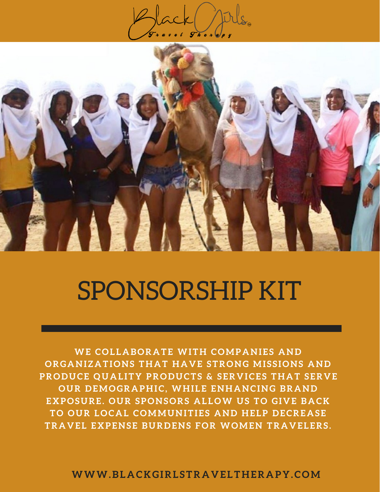



# SPONSORSHIP KIT

**WE COL L A BOR A TE WIT H COMP A NI E S A ND ORG A NI Z A TIONS T H A T H A V E STRONG MI S S IONS A ND PRODUCE QU A L IT Y PRODUCTS & S ER V ICE S T H A T S ER V E OUR D EMOGR A P H IC, WH I L E EN H A NCING BR A ND EXPOSURE . OUR SPONSORS A L LOW US TO GI V E B A C K TO OUR LOC A L COMMUNITI E S A ND H E LP D ECRE A S E TR A V E L EXPENS E BUR D ENS FOR WOMEN TR A V E L ERS .**

**WWW.BL A C K GIRL STR A V E LT H ER A P Y .COM**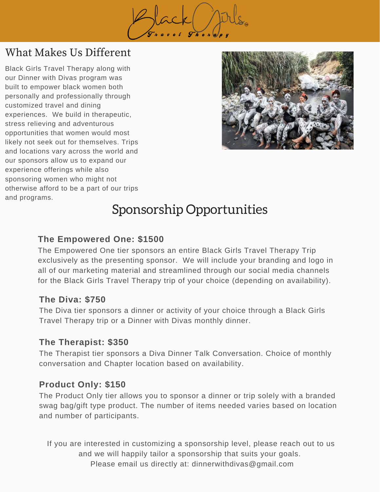

# What Makes Us Different

Black Girls Travel Therapy along with our Dinner with Divas program was built to empower black women both personally and professionally through customized travel and dining experiences. We build in therapeutic, stress relieving and adventurous opportunities that women would most likely not seek out for themselves. Trips and locations vary across the world and our sponsors allow us to expand our experience offerings while also sponsoring women who might not otherwise afford to be a part of our trips and programs.



# Sponsorship Opportunities

#### **The Empowered One: \$1500**

The Empowered One tier sponsors an entire Black Girls Travel Therapy Trip exclusively as the presenting sponsor. We will include your branding and logo in all of our marketing material and streamlined through our social media channels for the Black Girls Travel Therapy trip of your choice (depending on availability).

#### **The Diva: \$750**

The Diva tier sponsors a dinner or activity of your choice through a Black Girls Travel Therapy trip or a Dinner with Divas monthly dinner.

#### **The Therapist: \$350**

The Therapist tier sponsors a Diva Dinner Talk Conversation. Choice of monthly conversation and Chapter location based on availability.

#### **Product Only: \$150**

The Product Only tier allows you to sponsor a dinner or trip solely with a branded swag bag/gift type product. The number of items needed varies based on location and number of participants.

If you are interested in customizing a sponsorship level, please reach out to us and we will happily tailor a sponsorship that suits your goals. Please email us directly at: dinnerwithdivas@gmail.com